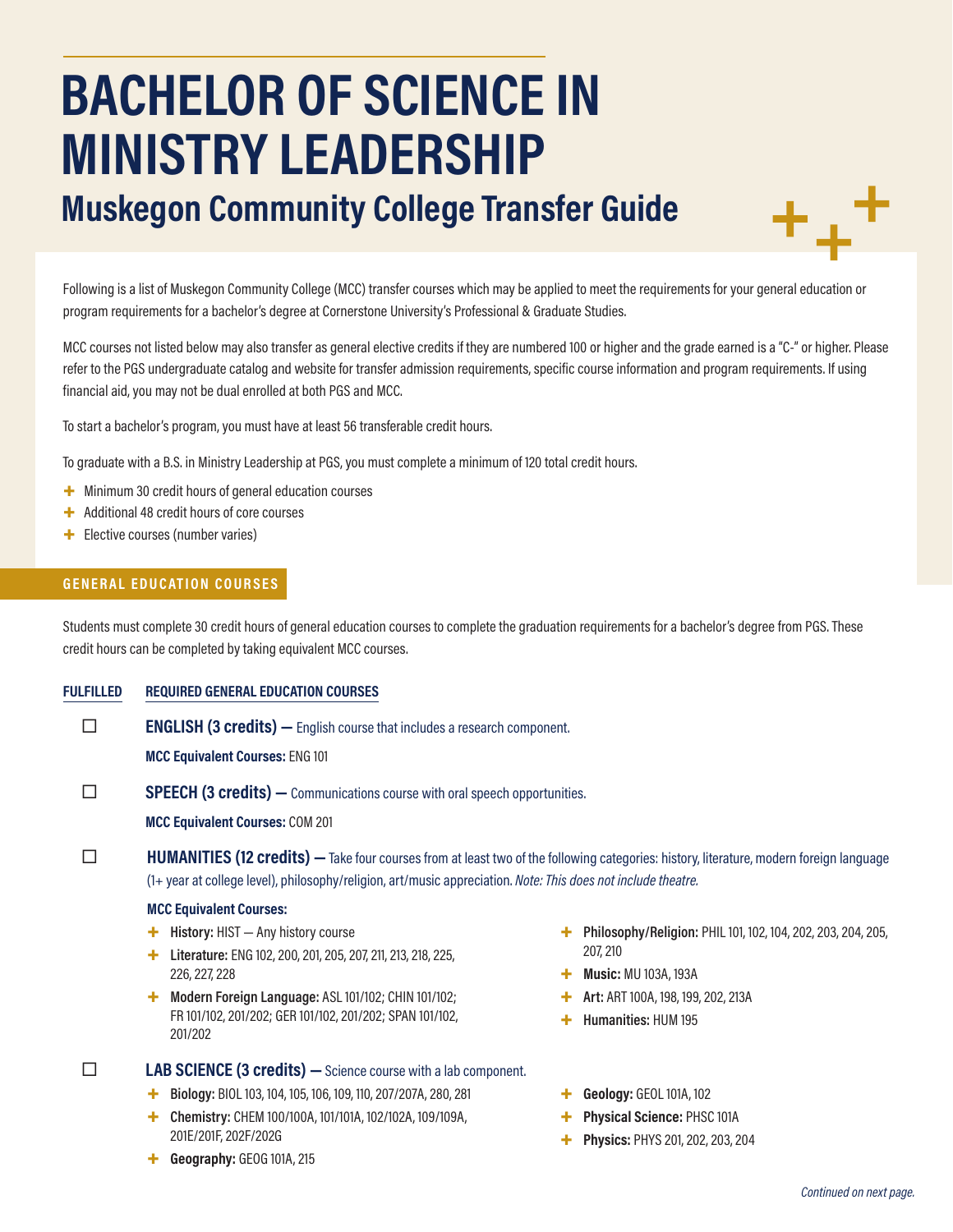# **BACHELOR OF SCIENCE IN MINISTRY LEADERSHIP**

**Muskegon Community College Transfer Guide**



Following is a list of Muskegon Community College (MCC) transfer courses which may be applied to meet the requirements for your general education or program requirements for a bachelor's degree at Cornerstone University's Professional & Graduate Studies.

MCC courses not listed below may also transfer as general elective credits if they are numbered 100 or higher and the grade earned is a "C-" or higher. Please refer to the PGS undergraduate catalog and website for transfer admission requirements, specific course information and program requirements. If using financial aid, you may not be dual enrolled at both PGS and MCC.

To start a bachelor's program, you must have at least 56 transferable credit hours.

To graduate with a B.S. in Ministry Leadership at PGS, you must complete a minimum of 120 total credit hours.

- + Minimum 30 credit hours of general education courses
- + Additional 48 credit hours of core courses
- + Elective courses (number varies)

#### **GENERAL EDUCATION COURSES**

Students must complete 30 credit hours of general education courses to complete the graduation requirements for a bachelor's degree from PGS. These credit hours can be completed by taking equivalent MCC courses.

#### **FULFILLED REQUIRED GENERAL EDUCATION COURSES**

**ENGLISH (3 credits)** — English course that includes a research component.

**MCC Equivalent Courses:** ENG 101

**SPEECH (3 credits)** — Communications course with oral speech opportunities.

**MCC Equivalent Courses:** COM 201

**HUMANITIES (12 credits)** — Take four courses from at least two of the following categories: history, literature, modern foreign language (1+ year at college level), philosophy/religion, art/music appreciation. *Note: This does not include theatre.*

#### **MCC Equivalent Courses:**

- + **History:** HIST Any history course
- + **Literature:** ENG 102, 200, 201, 205, 207, 211, 213, 218, 225, 226, 227, 228
- + **Modern Foreign Language:** ASL 101/102; CHIN 101/102; FR 101/102, 201/202; GER 101/102, 201/202; SPAN 101/102, 201/202

 **LAB SCIENCE (3 credits) —**Science course with a lab component.

- + **Biology:** BIOL 103, 104, 105, 106, 109, 110, 207/207A, 280, 281
- + **Chemistry:** CHEM 100/100A, 101/101A, 102/102A, 109/109A, 201E/201F, 202F/202G
- + **Geography:** GEOG 101A, 215
- + **Philosophy/Religion:** PHIL 101, 102, 104, 202, 203, 204, 205, 207, 210
- + **Music:** MU 103A, 193A
- + **Art:** ART 100A, 198, 199, 202, 213A
	- + **Humanities:** HUM 195
- + **Geology:** GEOL 101A, 102
- + **Physical Science:** PHSC 101A
- + **Physics:** PHYS 201, 202, 203, 204